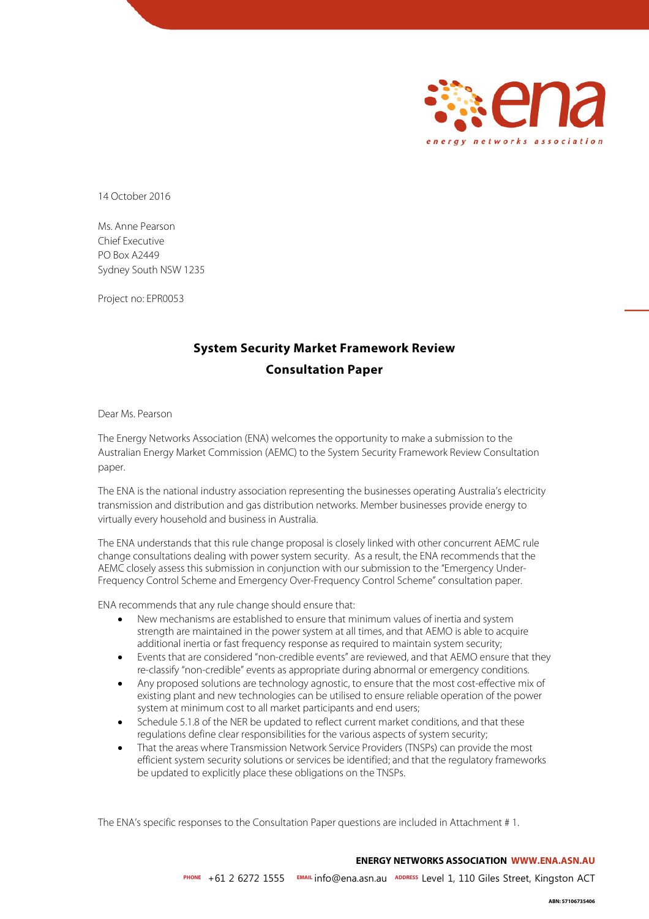

14 October 2016

Ms. Anne Pearson Chief Executive PO Box A2449 Sydney South NSW 1235

Project no: EPR0053

# **System Security Market Framework Review Consultation Paper**

Dear Ms. Pearson

The Energy Networks Association (ENA) welcomes the opportunity to make a submission to the Australian Energy Market Commission (AEMC) to the System Security Framework Review Consultation paper.

The ENA is the national industry association representing the businesses operating Australia's electricity transmission and distribution and gas distribution networks. Member businesses provide energy to virtually every household and business in Australia.

The ENA understands that this rule change proposal is closely linked with other concurrent AEMC rule change consultations dealing with power system security. As a result, the ENA recommends that the AEMC closely assess this submission in conjunction with our submission to the "Emergency Under-Frequency Control Scheme and Emergency Over-Frequency Control Scheme" consultation paper.

ENA recommends that any rule change should ensure that:

- New mechanisms are established to ensure that minimum values of inertia and system strength are maintained in the power system at all times, and that AEMO is able to acquire additional inertia or fast frequency response as required to maintain system security;
- Events that are considered "non-credible events" are reviewed, and that AEMO ensure that they re-classify "non-credible" events as appropriate during abnormal or emergency conditions.
- Any proposed solutions are technology agnostic, to ensure that the most cost-effective mix of existing plant and new technologies can be utilised to ensure reliable operation of the power system at minimum cost to all market participants and end users;
- Schedule 5.1.8 of the NER be updated to reflect current market conditions, and that these regulations define clear responsibilities for the various aspects of system security;
- That the areas where Transmission Network Service Providers (TNSPs) can provide the most efficient system security solutions or services be identified; and that the regulatory frameworks be updated to explicitly place these obligations on the TNSPs.

The ENA's specific responses to the Consultation Paper questions are included in Attachment # 1.

#### **ENERGY NETWORKS ASSOCIATION WWW.ENA.ASN.AU**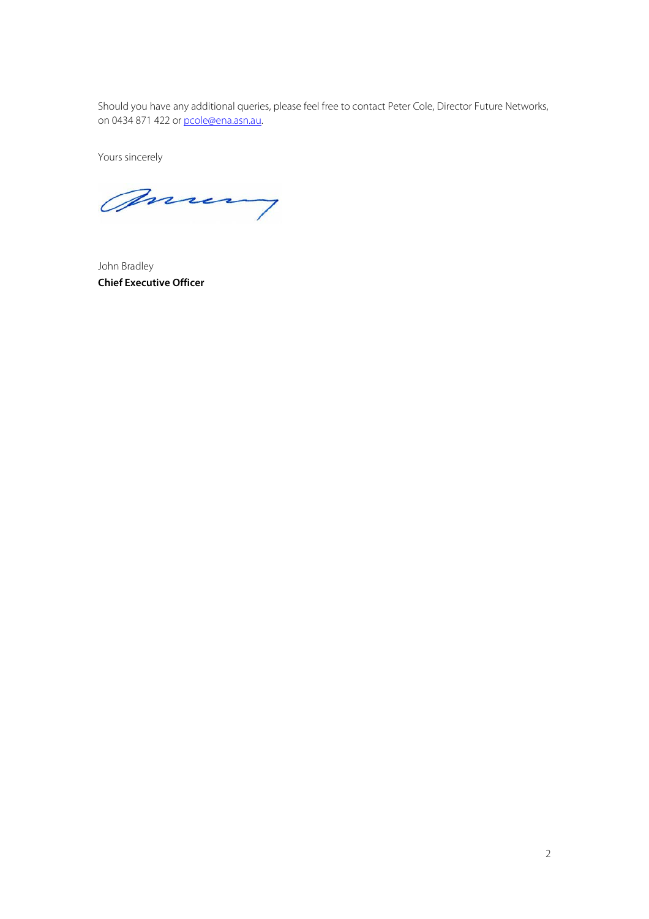Should you have any additional queries, please feel free to contact Peter Cole, Director Future Networks, on 0434 871 422 or [pcole@ena.asn.au.](mailto:pcole@ena.asn.au)

Yours sincerely

many

John Bradley **Chief Executive Officer**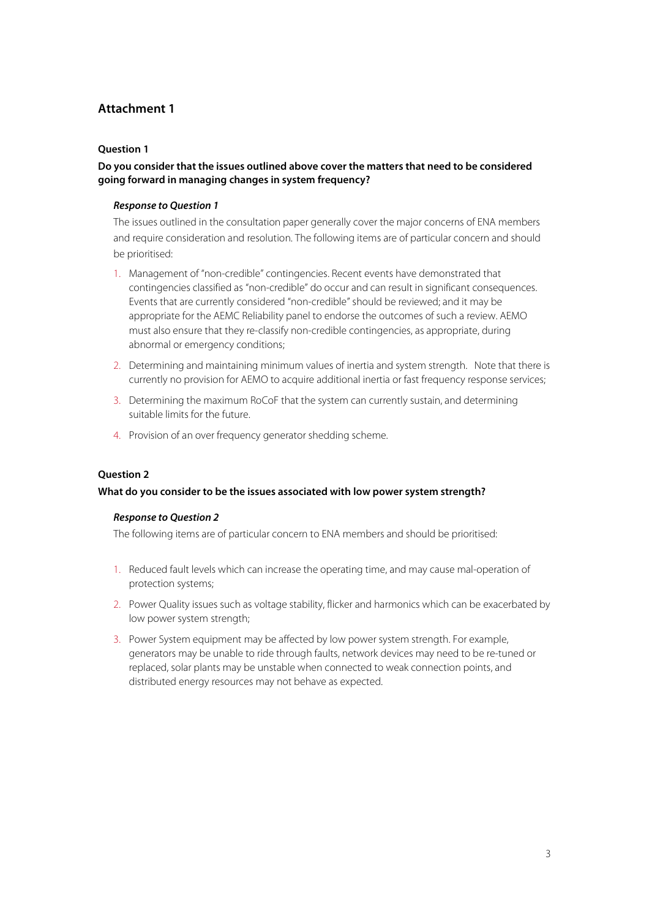## **Attachment 1**

#### **Question 1**

### **Do you consider that the issues outlined above cover the matters that need to be considered going forward in managing changes in system frequency?**

#### *Response to Question 1*

The issues outlined in the consultation paper generally cover the major concerns of ENA members and require consideration and resolution. The following items are of particular concern and should be prioritised:

- 1. Management of "non-credible" contingencies. Recent events have demonstrated that contingencies classified as "non-credible" do occur and can result in significant consequences. Events that are currently considered "non-credible" should be reviewed; and it may be appropriate for the AEMC Reliability panel to endorse the outcomes of such a review. AEMO must also ensure that they re-classify non-credible contingencies, as appropriate, during abnormal or emergency conditions;
- 2. Determining and maintaining minimum values of inertia and system strength. Note that there is currently no provision for AEMO to acquire additional inertia or fast frequency response services;
- 3. Determining the maximum RoCoF that the system can currently sustain, and determining suitable limits for the future.
- 4. Provision of an over frequency generator shedding scheme.

### **Question 2**

#### **What do you consider to be the issues associated with low power system strength?**

#### *Response to Question 2*

The following items are of particular concern to ENA members and should be prioritised:

- 1. Reduced fault levels which can increase the operating time, and may cause mal-operation of protection systems;
- 2. Power Quality issues such as voltage stability, flicker and harmonics which can be exacerbated by low power system strength;
- 3. Power System equipment may be affected by low power system strength. For example, generators may be unable to ride through faults, network devices may need to be re-tuned or replaced, solar plants may be unstable when connected to weak connection points, and distributed energy resources may not behave as expected.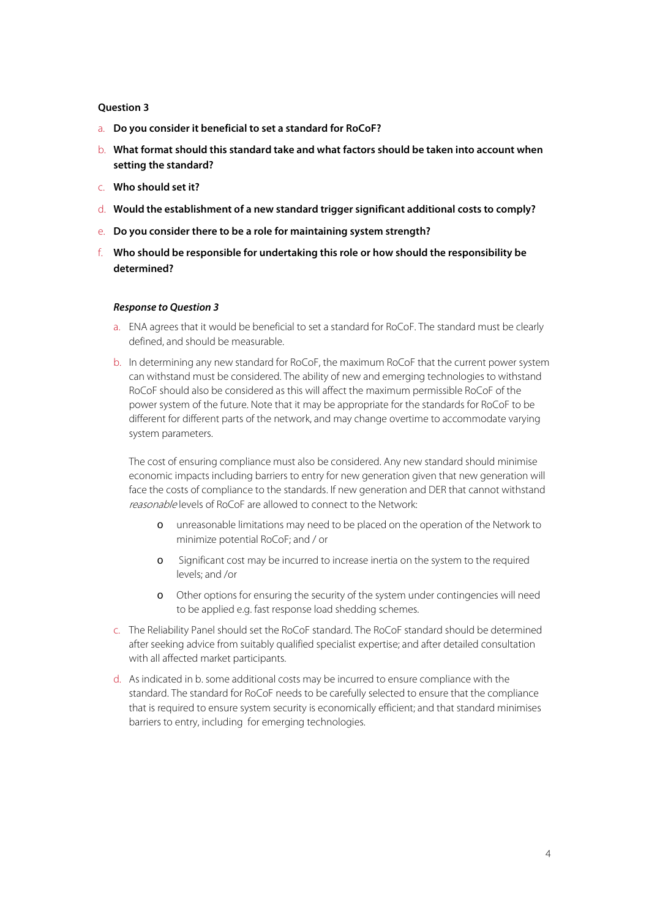#### **Question 3**

- a. **Do you consider it beneficial to set a standard for RoCoF?**
- b. **What format should this standard take and what factors should be taken into account when setting the standard?**
- c. **Who should set it?**
- d. **Would the establishment of a new standard trigger significant additional costs to comply?**
- e. **Do you consider there to be a role for maintaining system strength?**
- f. **Who should be responsible for undertaking this role or how should the responsibility be determined?**

#### *Response to Question 3*

- a. ENA agrees that it would be beneficial to set a standard for RoCoF. The standard must be clearly defined, and should be measurable.
- b. In determining any new standard for RoCoF, the maximum RoCoF that the current power system can withstand must be considered. The ability of new and emerging technologies to withstand RoCoF should also be considered as this will affect the maximum permissible RoCoF of the power system of the future. Note that it may be appropriate for the standards for RoCoF to be different for different parts of the network, and may change overtime to accommodate varying system parameters.

The cost of ensuring compliance must also be considered. Any new standard should minimise economic impacts including barriers to entry for new generation given that new generation will face the costs of compliance to the standards. If new generation and DER that cannot withstand reasonable levels of RoCoF are allowed to connect to the Network:

- o unreasonable limitations may need to be placed on the operation of the Network to minimize potential RoCoF; and / or
- o Significant cost may be incurred to increase inertia on the system to the required levels; and /or
- o Other options for ensuring the security of the system under contingencies will need to be applied e.g. fast response load shedding schemes.
- c. The Reliability Panel should set the RoCoF standard. The RoCoF standard should be determined after seeking advice from suitably qualified specialist expertise; and after detailed consultation with all affected market participants.
- d. As indicated in b. some additional costs may be incurred to ensure compliance with the standard. The standard for RoCoF needs to be carefully selected to ensure that the compliance that is required to ensure system security is economically efficient; and that standard minimises barriers to entry, including for emerging technologies.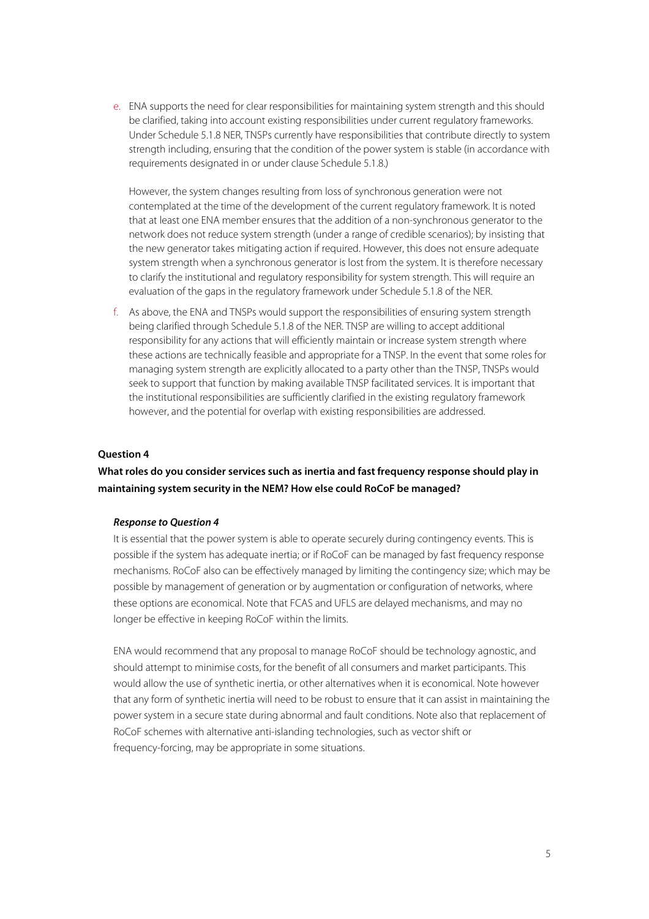e. ENA supports the need for clear responsibilities for maintaining system strength and this should be clarified, taking into account existing responsibilities under current regulatory frameworks. Under Schedule 5.1.8 NER, TNSPs currently have responsibilities that contribute directly to system strength including, ensuring that the condition of the power system is stable (in accordance with requirements designated in or under clause Schedule 5.1.8.)

However, the system changes resulting from loss of synchronous generation were not contemplated at the time of the development of the current regulatory framework. It is noted that at least one ENA member ensures that the addition of a non-synchronous generator to the network does not reduce system strength (under a range of credible scenarios); by insisting that the new generator takes mitigating action if required. However, this does not ensure adequate system strength when a synchronous generator is lost from the system. It is therefore necessary to clarify the institutional and regulatory responsibility for system strength. This will require an evaluation of the gaps in the regulatory framework under Schedule 5.1.8 of the NER.

f. As above, the ENA and TNSPs would support the responsibilities of ensuring system strength being clarified through Schedule 5.1.8 of the NER. TNSP are willing to accept additional responsibility for any actions that will efficiently maintain or increase system strength where these actions are technically feasible and appropriate for a TNSP. In the event that some roles for managing system strength are explicitly allocated to a party other than the TNSP, TNSPs would seek to support that function by making available TNSP facilitated services. It is important that the institutional responsibilities are sufficiently clarified in the existing regulatory framework however, and the potential for overlap with existing responsibilities are addressed.

#### **Question 4**

**What roles do you consider services such as inertia and fast frequency response should play in maintaining system security in the NEM? How else could RoCoF be managed?** 

#### *Response to Question 4*

It is essential that the power system is able to operate securely during contingency events. This is possible if the system has adequate inertia; or if RoCoF can be managed by fast frequency response mechanisms. RoCoF also can be effectively managed by limiting the contingency size; which may be possible by management of generation or by augmentation or configuration of networks, where these options are economical. Note that FCAS and UFLS are delayed mechanisms, and may no longer be effective in keeping RoCoF within the limits.

ENA would recommend that any proposal to manage RoCoF should be technology agnostic, and should attempt to minimise costs, for the benefit of all consumers and market participants. This would allow the use of synthetic inertia, or other alternatives when it is economical. Note however that any form of synthetic inertia will need to be robust to ensure that it can assist in maintaining the power system in a secure state during abnormal and fault conditions. Note also that replacement of RoCoF schemes with alternative anti-islanding technologies, such as vector shift or frequency-forcing, may be appropriate in some situations.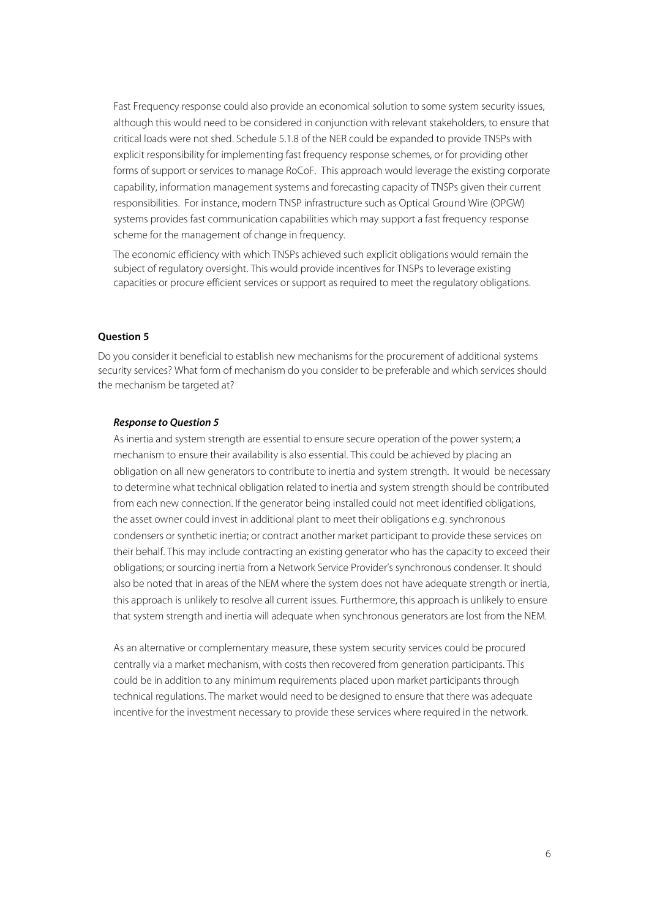Fast Frequency response could also provide an economical solution to some system security issues, although this would need to be considered in conjunction with relevant stakeholders, to ensure that critical loads were not shed. Schedule 5.1.8 of the NER could be expanded to provide TNSPs with explicit responsibility for implementing fast frequency response schemes, or for providing other forms of support or services to manage RoCoF. This approach would leverage the existing corporate capability, information management systems and forecasting capacity of TNSPs given their current responsibilities. For instance, modern TNSP infrastructure such as Optical Ground Wire (OPGW) systems provides fast communication capabilities which may support a fast frequency response scheme for the management of change in frequency.

The economic efficiency with which TNSPs achieved such explicit obligations would remain the subject of regulatory oversight. This would provide incentives for TNSPs to leverage existing capacities or procure efficient services or support as required to meet the regulatory obligations.

#### **Question 5**

Do you consider it beneficial to establish new mechanisms for the procurement of additional systems security services? What form of mechanism do you consider to be preferable and which services should the mechanism be targeted at?

#### *Response to Question 5*

As inertia and system strength are essential to ensure secure operation of the power system; a mechanism to ensure their availability is also essential. This could be achieved by placing an obligation on all new generators to contribute to inertia and system strength. It would be necessary to determine what technical obligation related to inertia and system strength should be contributed from each new connection. If the generator being installed could not meet identified obligations, the asset owner could invest in additional plant to meet their obligations e.g. synchronous condensers or synthetic inertia; or contract another market participant to provide these services on their behalf. This may include contracting an existing generator who has the capacity to exceed their obligations; or sourcing inertia from a Network Service Provider's synchronous condenser. It should also be noted that in areas of the NEM where the system does not have adequate strength or inertia, this approach is unlikely to resolve all current issues. Furthermore, this approach is unlikely to ensure that system strength and inertia will adequate when synchronous generators are lost from the NEM.

As an alternative or complementary measure, these system security services could be procured centrally via a market mechanism, with costs then recovered from generation participants. This could be in addition to any minimum requirements placed upon market participants through technical regulations. The market would need to be designed to ensure that there was adequate incentive for the investment necessary to provide these services where required in the network.